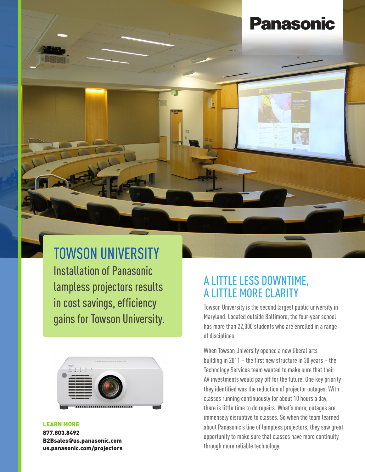# **Panasonic**



# TOWSON UNIVERSITY

Installation of Panasonic lampless projectors results in cost savings, efficiency gains for Towson University.



#### LEARN MORE

877.803.8492 B2Bsales@us.panasonic.com [us.panasonic.com/projectors](http://us.panasonic.com/projectors)

### A LITTLE LESS DOWNTIME, A LITTLE MORE CLARITY

Towson University is the second largest public university in Maryland. Located outside Baltimore, the four-year school has more than 22,000 students who are enrolled in a range of disciplines.

When Towson University opened a new liberal arts building in 2011 – the first new structure in 30 years – the Technology Services team wanted to make sure that their AV investments would pay off for the future. One key priority they identified was the reduction of projector outages. With classes running continuously for about 10 hours a day, there is little time to do repairs. What's more, outages are immensely disruptive to classes. So when the team learned about Panasonic's line of lampless projectors, they saw great opportunity to make sure that classes have more continuity through more reliable technology.